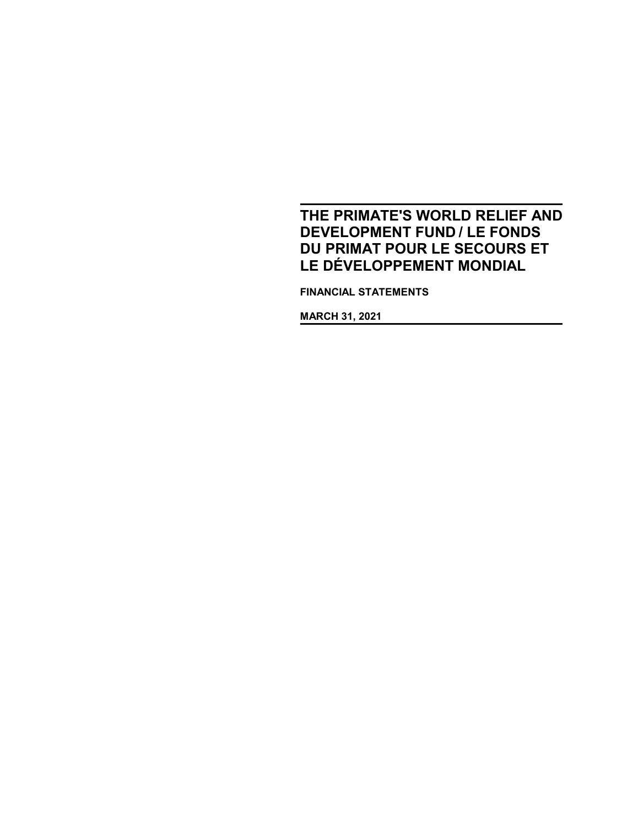FINANCIAL STATEMENTS

MARCH 31, 2021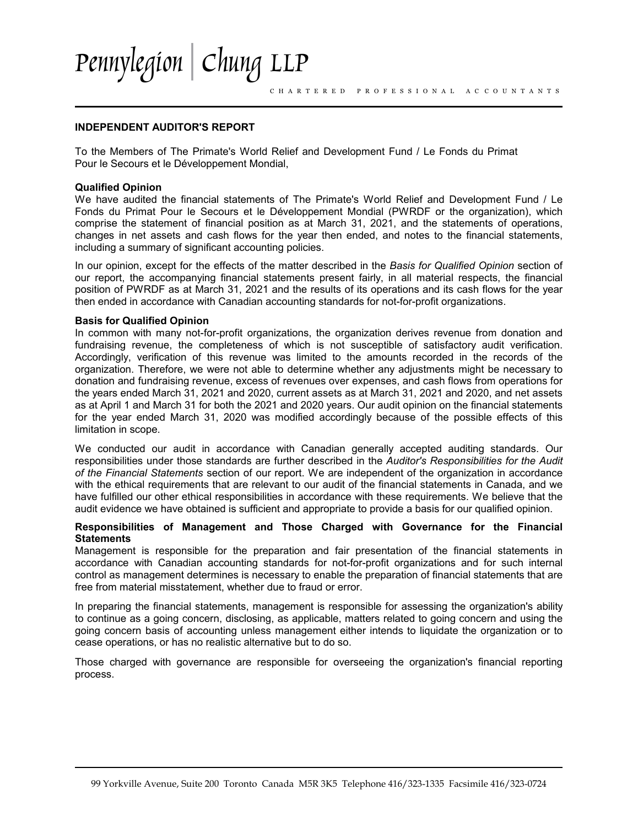Pennylegion | Chung LLP

### INDEPENDENT AUDITOR'S REPORT

To the Members of The Primate's World Relief and Development Fund / Le Fonds du Primat Pour le Secours et le Développement Mondial,

#### Qualified Opinion

We have audited the financial statements of The Primate's World Relief and Development Fund / Le Fonds du Primat Pour le Secours et le Développement Mondial (PWRDF or the organization), which comprise the statement of financial position as at March 31, 2021, and the statements of operations, changes in net assets and cash flows for the year then ended, and notes to the financial statements, including a summary of significant accounting policies.

In our opinion, except for the effects of the matter described in the Basis for Qualified Opinion section of our report, the accompanying financial statements present fairly, in all material respects, the financial position of PWRDF as at March 31, 2021 and the results of its operations and its cash flows for the year then ended in accordance with Canadian accounting standards for not-for-profit organizations.

#### Basis for Qualified Opinion

In common with many not-for-profit organizations, the organization derives revenue from donation and fundraising revenue, the completeness of which is not susceptible of satisfactory audit verification. Accordingly, verification of this revenue was limited to the amounts recorded in the records of the organization. Therefore, we were not able to determine whether any adjustments might be necessary to donation and fundraising revenue, excess of revenues over expenses, and cash flows from operations for the years ended March 31, 2021 and 2020, current assets as at March 31, 2021 and 2020, and net assets as at April 1 and March 31 for both the 2021 and 2020 years. Our audit opinion on the financial statements for the year ended March 31, 2020 was modified accordingly because of the possible effects of this limitation in scope.

We conducted our audit in accordance with Canadian generally accepted auditing standards. Our responsibilities under those standards are further described in the Auditor's Responsibilities for the Audit of the Financial Statements section of our report. We are independent of the organization in accordance with the ethical requirements that are relevant to our audit of the financial statements in Canada, and we have fulfilled our other ethical responsibilities in accordance with these requirements. We believe that the audit evidence we have obtained is sufficient and appropriate to provide a basis for our qualified opinion.

#### Responsibilities of Management and Those Charged with Governance for the Financial **Statements**

Management is responsible for the preparation and fair presentation of the financial statements in accordance with Canadian accounting standards for not-for-profit organizations and for such internal control as management determines is necessary to enable the preparation of financial statements that are free from material misstatement, whether due to fraud or error.

In preparing the financial statements, management is responsible for assessing the organization's ability to continue as a going concern, disclosing, as applicable, matters related to going concern and using the going concern basis of accounting unless management either intends to liquidate the organization or to cease operations, or has no realistic alternative but to do so.

Those charged with governance are responsible for overseeing the organization's financial reporting process.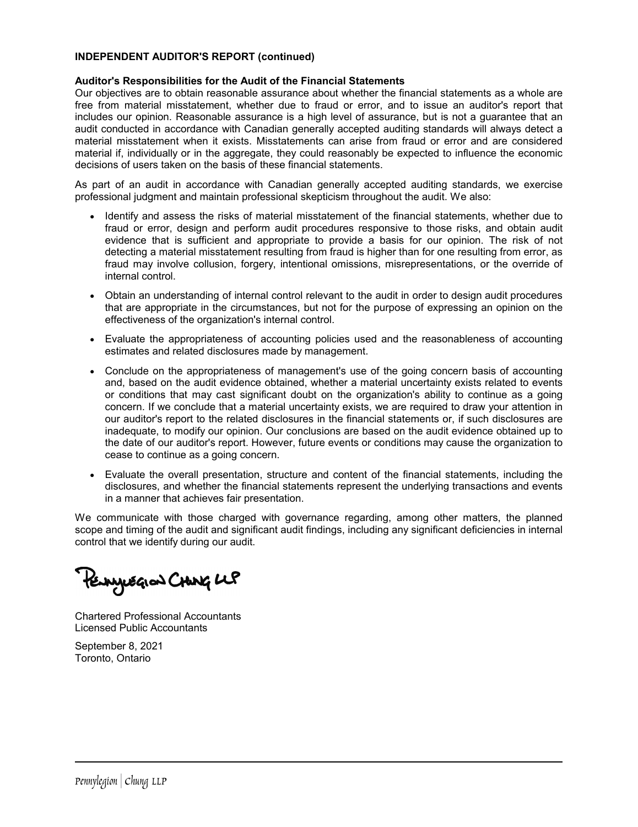## INDEPENDENT AUDITOR'S REPORT (continued)

### Auditor's Responsibilities for the Audit of the Financial Statements

Our objectives are to obtain reasonable assurance about whether the financial statements as a whole are free from material misstatement, whether due to fraud or error, and to issue an auditor's report that includes our opinion. Reasonable assurance is a high level of assurance, but is not a guarantee that an audit conducted in accordance with Canadian generally accepted auditing standards will always detect a material misstatement when it exists. Misstatements can arise from fraud or error and are considered material if, individually or in the aggregate, they could reasonably be expected to influence the economic decisions of users taken on the basis of these financial statements.

As part of an audit in accordance with Canadian generally accepted auditing standards, we exercise professional judgment and maintain professional skepticism throughout the audit. We also:

- Identify and assess the risks of material misstatement of the financial statements, whether due to fraud or error, design and perform audit procedures responsive to those risks, and obtain audit evidence that is sufficient and appropriate to provide a basis for our opinion. The risk of not detecting a material misstatement resulting from fraud is higher than for one resulting from error, as fraud may involve collusion, forgery, intentional omissions, misrepresentations, or the override of internal control.
- Obtain an understanding of internal control relevant to the audit in order to design audit procedures that are appropriate in the circumstances, but not for the purpose of expressing an opinion on the effectiveness of the organization's internal control.
- Evaluate the appropriateness of accounting policies used and the reasonableness of accounting estimates and related disclosures made by management.
- Conclude on the appropriateness of management's use of the going concern basis of accounting and, based on the audit evidence obtained, whether a material uncertainty exists related to events or conditions that may cast significant doubt on the organization's ability to continue as a going concern. If we conclude that a material uncertainty exists, we are required to draw your attention in our auditor's report to the related disclosures in the financial statements or, if such disclosures are inadequate, to modify our opinion. Our conclusions are based on the audit evidence obtained up to the date of our auditor's report. However, future events or conditions may cause the organization to cease to continue as a going concern.
- Evaluate the overall presentation, structure and content of the financial statements, including the disclosures, and whether the financial statements represent the underlying transactions and events in a manner that achieves fair presentation.

We communicate with those charged with governance regarding, among other matters, the planned scope and timing of the audit and significant audit findings, including any significant deficiencies in internal control that we identify during our audit.

Pernyrequan Cranque

Chartered Professional Accountants Licensed Public Accountants

September 8, 2021 Toronto, Ontario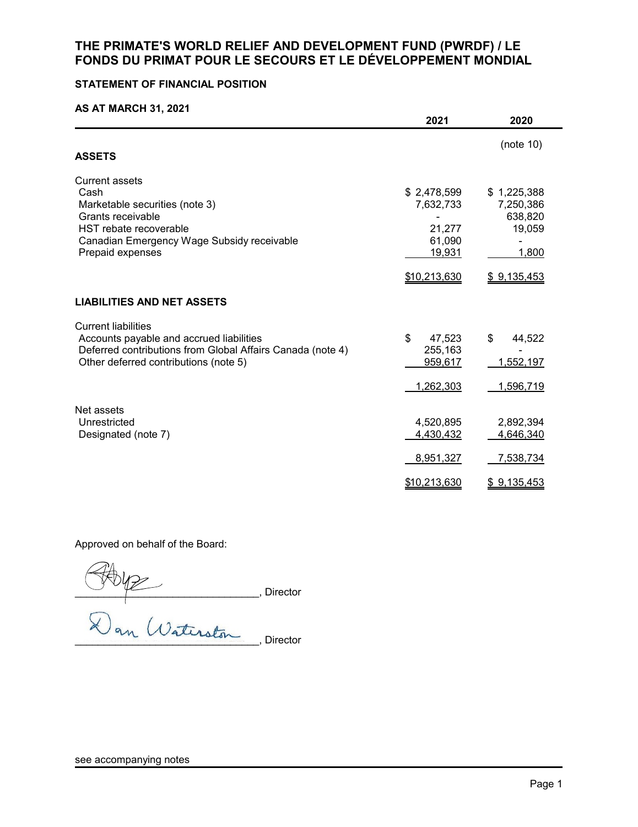## STATEMENT OF FINANCIAL POSITION

## AS AT MARCH 31, 2021

|                                                                                                                                                                               | 2021                                                   | 2020                                                   |
|-------------------------------------------------------------------------------------------------------------------------------------------------------------------------------|--------------------------------------------------------|--------------------------------------------------------|
| <b>ASSETS</b>                                                                                                                                                                 |                                                        | (note 10)                                              |
| Current assets<br>Cash<br>Marketable securities (note 3)<br>Grants receivable<br>HST rebate recoverable<br>Canadian Emergency Wage Subsidy receivable<br>Prepaid expenses     | \$2,478,599<br>7,632,733<br>21,277<br>61,090<br>19,931 | \$1,225,388<br>7,250,386<br>638,820<br>19,059<br>1,800 |
|                                                                                                                                                                               | \$10,213,630                                           | \$9,135,453                                            |
| <b>LIABILITIES AND NET ASSETS</b>                                                                                                                                             |                                                        |                                                        |
| <b>Current liabilities</b><br>Accounts payable and accrued liabilities<br>Deferred contributions from Global Affairs Canada (note 4)<br>Other deferred contributions (note 5) | \$<br>47,523<br>255,163<br>959,617<br>1,262,303        | \$<br>44,522<br><u>1,552,197</u><br>1,596,719          |
| Net assets<br>Unrestricted<br>Designated (note 7)                                                                                                                             | 4,520,895<br>4,430,432<br>8,951,327<br>\$10,213,630    | 2,892,394<br>4,646,340<br>7,538,734<br>\$9,135,453     |
|                                                                                                                                                                               |                                                        |                                                        |

Approved on behalf of the Board:

\_\_\_\_\_\_\_\_\_\_\_\_\_\_\_\_\_\_\_\_\_\_\_\_\_\_\_\_\_\_\_\_, Director

\_\_\_\_\_\_\_\_\_\_\_\_\_\_\_\_\_\_\_\_\_\_\_\_\_\_\_\_\_\_\_\_, Director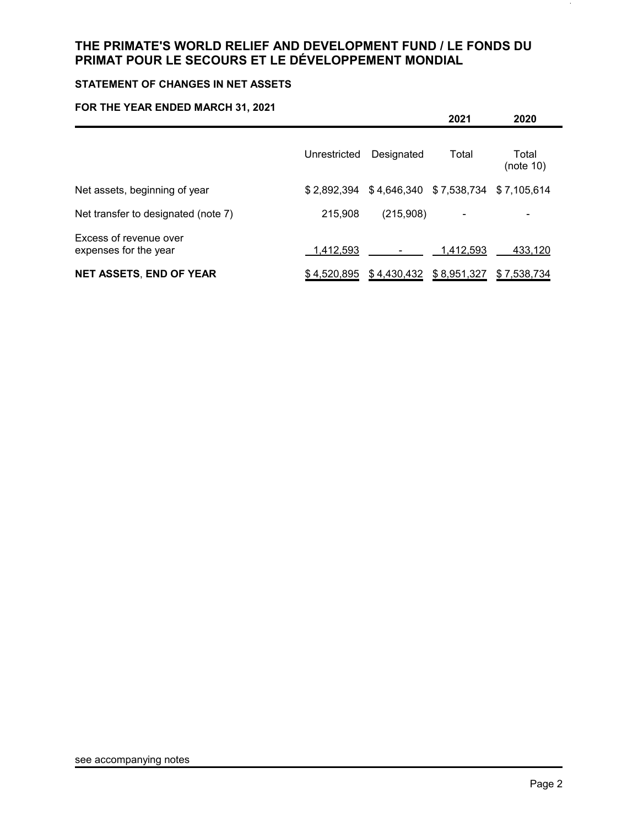## STATEMENT OF CHANGES IN NET ASSETS

## FOR THE YEAR ENDED MARCH 31, 2021

|                                                 |              |                                                 | 2021        | 2020               |  |
|-------------------------------------------------|--------------|-------------------------------------------------|-------------|--------------------|--|
|                                                 | Unrestricted | Designated                                      | Total       | Total<br>(note 10) |  |
| Net assets, beginning of year                   |              | \$2,892,394 \$4,646,340 \$7,538,734 \$7,105,614 |             |                    |  |
| Net transfer to designated (note 7)             | 215,908      | (215,908)                                       |             |                    |  |
| Excess of revenue over<br>expenses for the year | 1,412,593    |                                                 | 1,412,593   | 433,120            |  |
| <b>NET ASSETS, END OF YEAR</b>                  | \$4,520,895  | \$4,430,432                                     | \$8,951,327 | \$7,538,734        |  |

 $\bullet$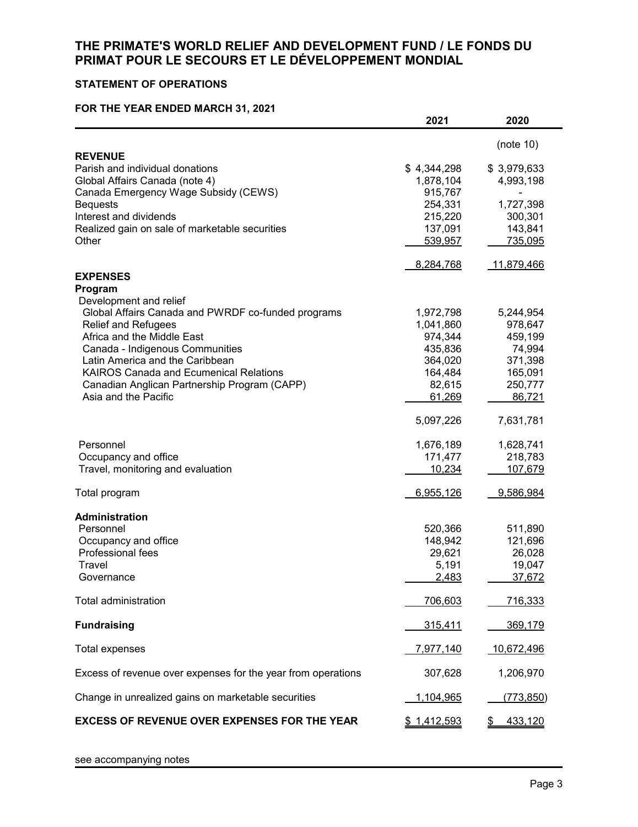## STATEMENT OF OPERATIONS

## FOR THE YEAR ENDED MARCH 31, 2021

|                                                              | 2021        | 2020              |
|--------------------------------------------------------------|-------------|-------------------|
|                                                              |             | (note 10)         |
| <b>REVENUE</b>                                               |             |                   |
| Parish and individual donations                              | \$4,344,298 | \$3,979,633       |
| Global Affairs Canada (note 4)                               | 1,878,104   | 4,993,198         |
| Canada Emergency Wage Subsidy (CEWS)                         | 915,767     |                   |
|                                                              |             |                   |
| <b>Bequests</b>                                              | 254,331     | 1,727,398         |
| Interest and dividends                                       | 215,220     | 300,301           |
| Realized gain on sale of marketable securities               | 137,091     | 143,841           |
| Other                                                        | 539,957     | 735,095           |
|                                                              | 8,284,768   | <u>11,879,466</u> |
| <b>EXPENSES</b><br>Program                                   |             |                   |
| Development and relief                                       |             |                   |
|                                                              |             |                   |
| Global Affairs Canada and PWRDF co-funded programs           | 1,972,798   | 5,244,954         |
| <b>Relief and Refugees</b>                                   | 1,041,860   | 978,647           |
| Africa and the Middle East                                   | 974,344     | 459,199           |
| Canada - Indigenous Communities                              | 435,836     | 74,994            |
| Latin America and the Caribbean                              | 364,020     | 371,398           |
| <b>KAIROS Canada and Ecumenical Relations</b>                | 164,484     | 165,091           |
| Canadian Anglican Partnership Program (CAPP)                 | 82,615      | 250,777           |
| Asia and the Pacific                                         | 61,269      | 86,721            |
|                                                              |             |                   |
|                                                              | 5,097,226   | 7,631,781         |
| Personnel                                                    | 1,676,189   | 1,628,741         |
| Occupancy and office                                         | 171,477     | 218,783           |
|                                                              |             |                   |
| Travel, monitoring and evaluation                            | 10,234      | 107,679           |
| Total program                                                | 6,955,126   | 9,586,984         |
| Administration                                               |             |                   |
| Personnel                                                    | 520,366     | 511,890           |
| Occupancy and office                                         | 148,942     | 121,696           |
| Professional fees                                            | 29,621      | 26,028            |
| Travel                                                       | 5,191       | 19,047            |
|                                                              |             | 37.672            |
| Governance                                                   | 2,483       |                   |
| <b>Total administration</b>                                  | 706,603     | 716,333           |
| <b>Fundraising</b>                                           | 315,411     | 369,179           |
| <b>Total expenses</b>                                        | 7,977,140   | <u>10,672,496</u> |
|                                                              |             |                   |
| Excess of revenue over expenses for the year from operations | 307,628     | 1,206,970         |
| Change in unrealized gains on marketable securities          | 1,104,965   | (773, 850)        |
| <b>EXCESS OF REVENUE OVER EXPENSES FOR THE YEAR</b>          | \$1,412,593 | <u>433,120</u>    |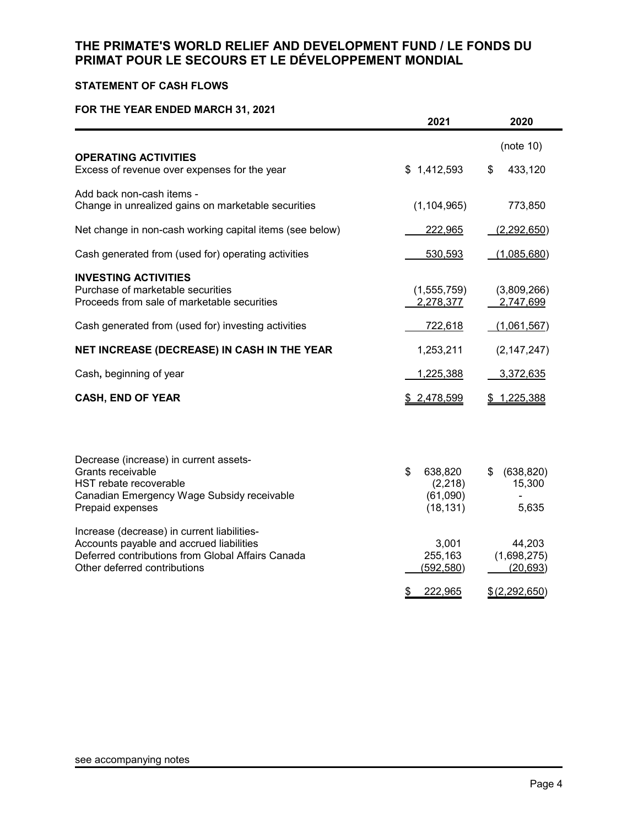## STATEMENT OF CASH FLOWS

## FOR THE YEAR ENDED MARCH 31, 2021

| FOR THE TEAR ENDED MARCH 31, 2021                                                                                                                                            | 2021                                              | 2020                                                |
|------------------------------------------------------------------------------------------------------------------------------------------------------------------------------|---------------------------------------------------|-----------------------------------------------------|
| <b>OPERATING ACTIVITIES</b>                                                                                                                                                  |                                                   | (note 10)                                           |
| Excess of revenue over expenses for the year                                                                                                                                 | \$1,412,593                                       | \$<br>433,120                                       |
| Add back non-cash items -<br>Change in unrealized gains on marketable securities                                                                                             | (1, 104, 965)                                     | 773,850                                             |
| Net change in non-cash working capital items (see below)                                                                                                                     | 222,965                                           | (2,292,650)                                         |
| Cash generated from (used for) operating activities                                                                                                                          | 530,593                                           | (1,085,680)                                         |
| <b>INVESTING ACTIVITIES</b><br>Purchase of marketable securities<br>Proceeds from sale of marketable securities                                                              | (1, 555, 759)<br>2,278,377                        | (3,809,266)<br>2,747,699                            |
| Cash generated from (used for) investing activities                                                                                                                          | 722,618                                           | (1,061,567)                                         |
| NET INCREASE (DECREASE) IN CASH IN THE YEAR                                                                                                                                  | 1,253,211                                         | (2, 147, 247)                                       |
| Cash, beginning of year                                                                                                                                                      | 1,225,388                                         | 3,372,635                                           |
| <b>CASH, END OF YEAR</b>                                                                                                                                                     | \$2,478,599                                       | \$1,225,388                                         |
| Decrease (increase) in current assets-<br>Grants receivable<br>HST rebate recoverable<br>Canadian Emergency Wage Subsidy receivable<br>Prepaid expenses                      | \$<br>638,820<br>(2,218)<br>(61,090)<br>(18, 131) | (638, 820)<br>S<br>15,300<br>5,635                  |
| Increase (decrease) in current liabilities-<br>Accounts payable and accrued liabilities<br>Deferred contributions from Global Affairs Canada<br>Other deferred contributions | 3,001<br>255,163<br>(592, 580)<br>\$<br>222,965   | 44,203<br>(1,698,275)<br>(20, 693)<br>\$(2,292,650) |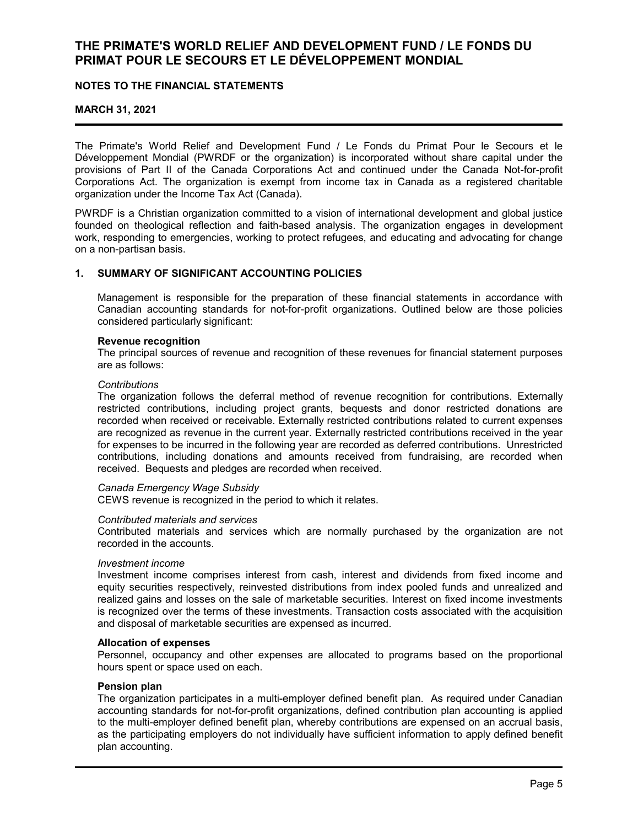### NOTES TO THE FINANCIAL STATEMENTS

### MARCH 31, 2021

The Primate's World Relief and Development Fund / Le Fonds du Primat Pour le Secours et le Développement Mondial (PWRDF or the organization) is incorporated without share capital under the provisions of Part II of the Canada Corporations Act and continued under the Canada Not-for-profit Corporations Act. The organization is exempt from income tax in Canada as a registered charitable organization under the Income Tax Act (Canada).

PWRDF is a Christian organization committed to a vision of international development and global justice founded on theological reflection and faith-based analysis. The organization engages in development work, responding to emergencies, working to protect refugees, and educating and advocating for change on a non-partisan basis.

### 1. SUMMARY OF SIGNIFICANT ACCOUNTING POLICIES

Management is responsible for the preparation of these financial statements in accordance with Canadian accounting standards for not-for-profit organizations. Outlined below are those policies considered particularly significant:

#### Revenue recognition

The principal sources of revenue and recognition of these revenues for financial statement purposes are as follows:

#### **Contributions**

The organization follows the deferral method of revenue recognition for contributions. Externally restricted contributions, including project grants, bequests and donor restricted donations are recorded when received or receivable. Externally restricted contributions related to current expenses are recognized as revenue in the current year. Externally restricted contributions received in the year for expenses to be incurred in the following year are recorded as deferred contributions. Unrestricted contributions, including donations and amounts received from fundraising, are recorded when received. Bequests and pledges are recorded when received.

#### Canada Emergency Wage Subsidy

CEWS revenue is recognized in the period to which it relates.

#### Contributed materials and services

Contributed materials and services which are normally purchased by the organization are not recorded in the accounts.

#### Investment income

Investment income comprises interest from cash, interest and dividends from fixed income and equity securities respectively, reinvested distributions from index pooled funds and unrealized and realized gains and losses on the sale of marketable securities. Interest on fixed income investments is recognized over the terms of these investments. Transaction costs associated with the acquisition and disposal of marketable securities are expensed as incurred.

#### Allocation of expenses

Personnel, occupancy and other expenses are allocated to programs based on the proportional hours spent or space used on each.

#### Pension plan

The organization participates in a multi-employer defined benefit plan. As required under Canadian accounting standards for not-for-profit organizations, defined contribution plan accounting is applied to the multi-employer defined benefit plan, whereby contributions are expensed on an accrual basis, as the participating employers do not individually have sufficient information to apply defined benefit plan accounting.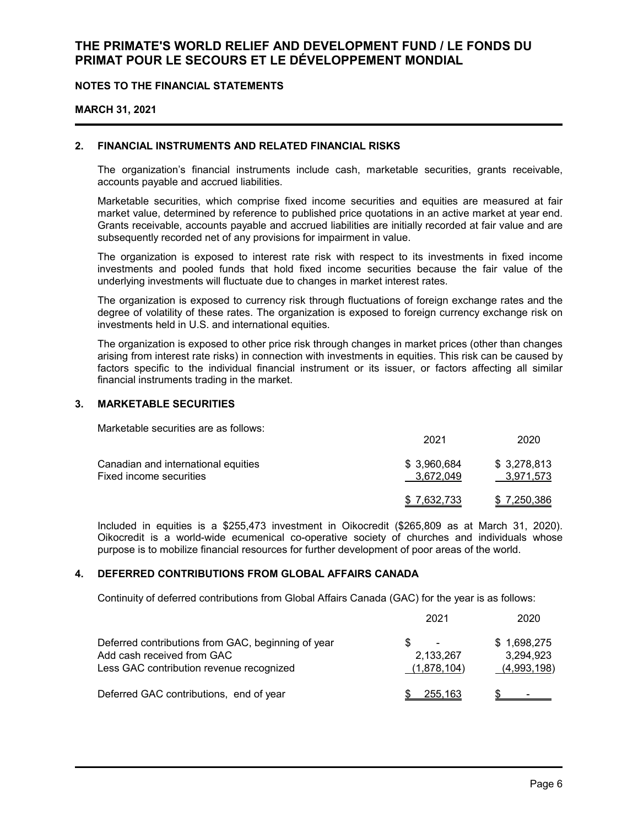### NOTES TO THE FINANCIAL STATEMENTS

#### MARCH 31, 2021

### 2. FINANCIAL INSTRUMENTS AND RELATED FINANCIAL RISKS

The organization's financial instruments include cash, marketable securities, grants receivable, accounts payable and accrued liabilities.

Marketable securities, which comprise fixed income securities and equities are measured at fair market value, determined by reference to published price quotations in an active market at year end. Grants receivable, accounts payable and accrued liabilities are initially recorded at fair value and are subsequently recorded net of any provisions for impairment in value.

The organization is exposed to interest rate risk with respect to its investments in fixed income investments and pooled funds that hold fixed income securities because the fair value of the underlying investments will fluctuate due to changes in market interest rates.

The organization is exposed to currency risk through fluctuations of foreign exchange rates and the degree of volatility of these rates. The organization is exposed to foreign currency exchange risk on investments held in U.S. and international equities.

The organization is exposed to other price risk through changes in market prices (other than changes arising from interest rate risks) in connection with investments in equities. This risk can be caused by factors specific to the individual financial instrument or its issuer, or factors affecting all similar financial instruments trading in the market.

## 3. MARKETABLE SECURITIES

Marketable securities are as follows:

|                                                                | 2021                      | 2020                     |
|----------------------------------------------------------------|---------------------------|--------------------------|
| Canadian and international equities<br>Fixed income securities | \$ 3.960.684<br>3.672.049 | \$3.278.813<br>3,971,573 |
|                                                                | \$7.632.733               | \$7,250,386              |

Included in equities is a \$255,473 investment in Oikocredit (\$265,809 as at March 31, 2020). Oikocredit is a world-wide ecumenical co-operative society of churches and individuals whose purpose is to mobilize financial resources for further development of poor areas of the world.

#### 4. DEFERRED CONTRIBUTIONS FROM GLOBAL AFFAIRS CANADA

Continuity of deferred contributions from Global Affairs Canada (GAC) for the year is as follows:

|                                                    | 2021           | 2020           |
|----------------------------------------------------|----------------|----------------|
| Deferred contributions from GAC, beginning of year | $\blacksquare$ | \$1,698,275    |
| Add cash received from GAC                         | 2,133,267      | 3,294,923      |
| Less GAC contribution revenue recognized           | (1,878,104)    | (4,993,198)    |
| Deferred GAC contributions, end of year            | 255,163        | $\blacksquare$ |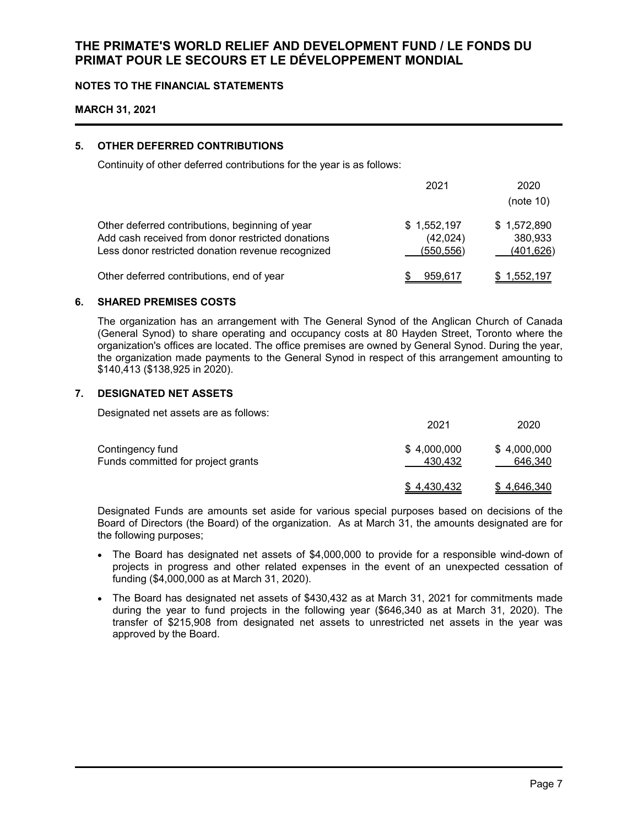### NOTES TO THE FINANCIAL STATEMENTS

### MARCH 31, 2021

## 5. OTHER DEFERRED CONTRIBUTIONS

Continuity of other deferred contributions for the year is as follows:

|                                                   | 2021        | 2020             |
|---------------------------------------------------|-------------|------------------|
|                                                   |             | (note 10)        |
| Other deferred contributions, beginning of year   | \$1,552,197 | \$1,572,890      |
| Add cash received from donor restricted donations | (42, 024)   | 380,933          |
| Less donor restricted donation revenue recognized | (550, 556)  | <u>(401,626)</u> |
| Other deferred contributions, end of year         | 959,617     | \$1,552,197      |

### 6. SHARED PREMISES COSTS

The organization has an arrangement with The General Synod of the Anglican Church of Canada (General Synod) to share operating and occupancy costs at 80 Hayden Street, Toronto where the organization's offices are located. The office premises are owned by General Synod. During the year, the organization made payments to the General Synod in respect of this arrangement amounting to \$140,413 (\$138,925 in 2020).

### 7. DESIGNATED NET ASSETS

Designated net assets are as follows:

|                                                        | 2021                   | 2020                   |
|--------------------------------------------------------|------------------------|------------------------|
| Contingency fund<br>Funds committed for project grants | \$4,000,000<br>430.432 | \$4,000,000<br>646,340 |
|                                                        | \$4,430,432            | \$4,646,340            |

Designated Funds are amounts set aside for various special purposes based on decisions of the Board of Directors (the Board) of the organization. As at March 31, the amounts designated are for the following purposes;

- The Board has designated net assets of \$4,000,000 to provide for a responsible wind-down of projects in progress and other related expenses in the event of an unexpected cessation of funding (\$4,000,000 as at March 31, 2020).
- The Board has designated net assets of \$430,432 as at March 31, 2021 for commitments made during the year to fund projects in the following year (\$646,340 as at March 31, 2020). The transfer of \$215,908 from designated net assets to unrestricted net assets in the year was approved by the Board.